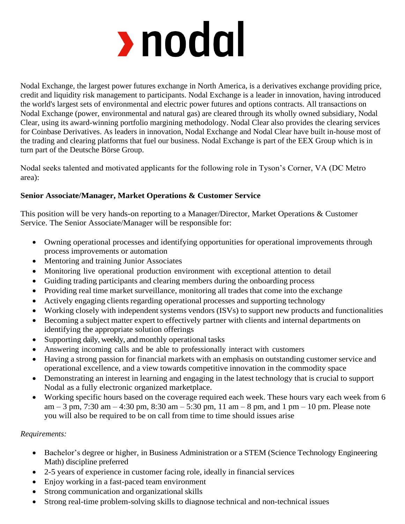# rnodal

Nodal Exchange, the largest power futures exchange in North America, is a derivatives exchange providing price, credit and liquidity risk management to participants. Nodal Exchange is a leader in innovation, having introduced the world's largest sets of environmental and electric power futures and options contracts. All transactions on Nodal Exchange (power, environmental and natural gas) are cleared through its wholly owned subsidiary, Nodal Clear, using its award-winning portfolio margining methodology. Nodal Clear also provides the clearing services for Coinbase Derivatives. As leaders in innovation, Nodal Exchange and Nodal Clear have built in-house most of the trading and clearing platforms that fuel our business. Nodal Exchange is part of the EEX Group which is in turn part of the Deutsche Börse Group.

Nodal seeks talented and motivated applicants for the following role in Tyson's Corner, VA (DC Metro area):

# **Senior Associate/Manager, Market Operations & Customer Service**

This position will be very hands-on reporting to a Manager/Director, Market Operations & Customer Service. The Senior Associate/Manager will be responsible for:

- Owning operational processes and identifying opportunities for operational improvements through process improvements or automation
- Mentoring and training Junior Associates
- Monitoring live operational production environment with exceptional attention to detail
- Guiding trading participants and clearing members during the onboarding process
- Providing real time market surveillance, monitoring all trades that come into the exchange
- Actively engaging clients regarding operational processes and supporting technology
- Working closely with independent systems vendors (ISVs) to support new products and functionalities
- Becoming a subject matter expert to effectively partner with clients and internal departments on identifying the appropriate solution offerings
- Supporting daily, weekly, and monthly operational tasks
- Answering incoming calls and be able to professionally interact with customers
- Having a strong passion for financial markets with an emphasis on outstanding customer service and operational excellence, and a view towards competitive innovation in the commodity space
- Demonstrating an interest in learning and engaging in the latest technology that is crucial to support Nodal as a fully electronic organized marketplace.
- Working specific hours based on the coverage required each week. These hours vary each week from 6 am – 3 pm, 7:30 am – 4:30 pm, 8:30 am – 5:30 pm, 11 am – 8 pm, and 1 pm – 10 pm. Please note you will also be required to be on call from time to time should issues arise

# *Requirements:*

- Bachelor's degree or higher, in Business Administration or a STEM (Science Technology Engineering Math) discipline preferred
- 2-5 years of experience in customer facing role, ideally in financial services
- Enjoy working in a fast-paced team environment
- Strong communication and organizational skills
- Strong real-time problem-solving skills to diagnose technical and non-technical issues